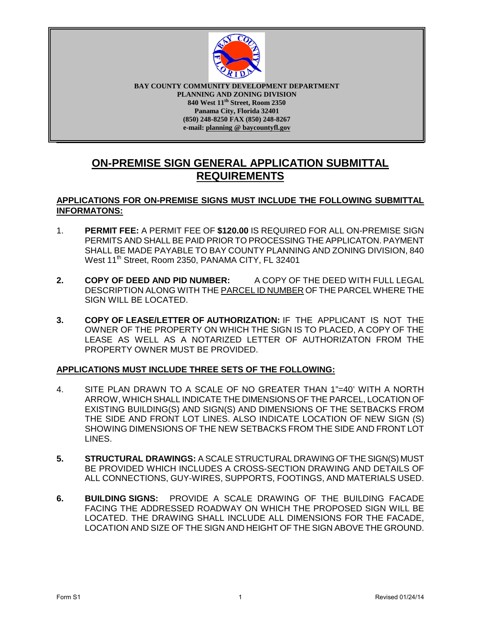

**BAY COUNTY COMMUNITY DEVELOPMENT DEPARTMENT PLANNING AND ZONING DIVISION 840 West 11th Street, Room 2350 Panama City, Florida 32401 (850) 248-8250 FAX (850) 248-8267 e-mail: planning @ baycountyfl.gov**

# **ON-PREMISE SIGN GENERAL APPLICATION SUBMITTAL REQUIREMENTS**

### **APPLICATIONS FOR ON-PREMISE SIGNS MUST INCLUDE THE FOLLOWING SUBMITTAL INFORMATONS:**

- 1. **PERMIT FEE:** A PERMIT FEE OF **\$120.00** IS REQUIRED FOR ALL ON-PREMISE SIGN PERMITS AND SHALL BE PAID PRIOR TO PROCESSING THE APPLICATON. PAYMENT SHALL BE MADE PAYABLE TO BAY COUNTY PLANNING AND ZONING DIVISION, 840 West 11<sup>th</sup> Street, Room 2350, PANAMA CITY, FL 32401
- **2. COPY OF DEED AND PID NUMBER:** A COPY OF THE DEED WITH FULL LEGAL DESCRIPTION ALONG WITH THE PARCEL ID NUMBER OF THE PARCEL WHERE THE SIGN WILL BE LOCATED.
- **3. COPY OF LEASE/LETTER OF AUTHORIZATION:** IF THE APPLICANT IS NOT THE OWNER OF THE PROPERTY ON WHICH THE SIGN IS TO PLACED, A COPY OF THE LEASE AS WELL AS A NOTARIZED LETTER OF AUTHORIZATON FROM THE PROPERTY OWNER MUST BE PROVIDED.

#### **APPLICATIONS MUST INCLUDE THREE SETS OF THE FOLLOWING:**

- 4. SITE PLAN DRAWN TO A SCALE OF NO GREATER THAN 1"=40' WITH A NORTH ARROW, WHICH SHALL INDICATE THE DIMENSIONS OF THE PARCEL, LOCATION OF EXISTING BUILDING(S) AND SIGN(S) AND DIMENSIONS OF THE SETBACKS FROM THE SIDE AND FRONT LOT LINES. ALSO INDICATE LOCATION OF NEW SIGN (S) SHOWING DIMENSIONS OF THE NEW SETBACKS FROM THE SIDE AND FRONT LOT LINES.
- **5. STRUCTURAL DRAWINGS:** A SCALE STRUCTURAL DRAWING OF THE SIGN(S) MUST BE PROVIDED WHICH INCLUDES A CROSS-SECTION DRAWING AND DETAILS OF ALL CONNECTIONS, GUY-WIRES, SUPPORTS, FOOTINGS, AND MATERIALS USED.
- **6. BUILDING SIGNS:** PROVIDE A SCALE DRAWING OF THE BUILDING FACADE FACING THE ADDRESSED ROADWAY ON WHICH THE PROPOSED SIGN WILL BE LOCATED. THE DRAWING SHALL INCLUDE ALL DIMENSIONS FOR THE FACADE, LOCATION AND SIZE OF THE SIGN AND HEIGHT OF THE SIGN ABOVE THE GROUND.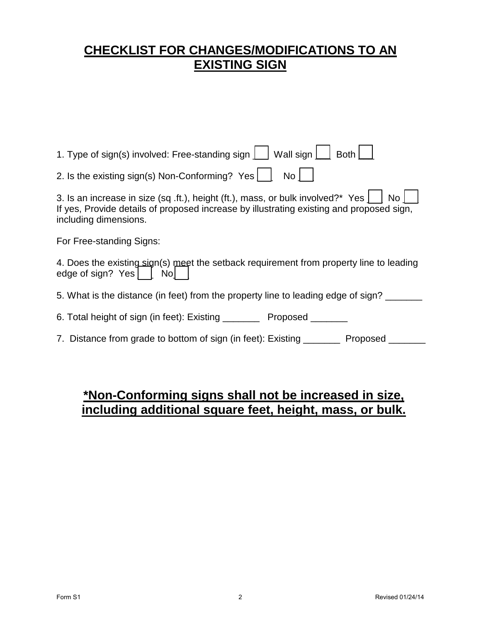# **CHECKLIST FOR CHANGES/MODIFICATIONS TO AN EXISTING SIGN**

# **\*Non-Conforming signs shall not be increased in size, including additional square feet, height, mass, or bulk.**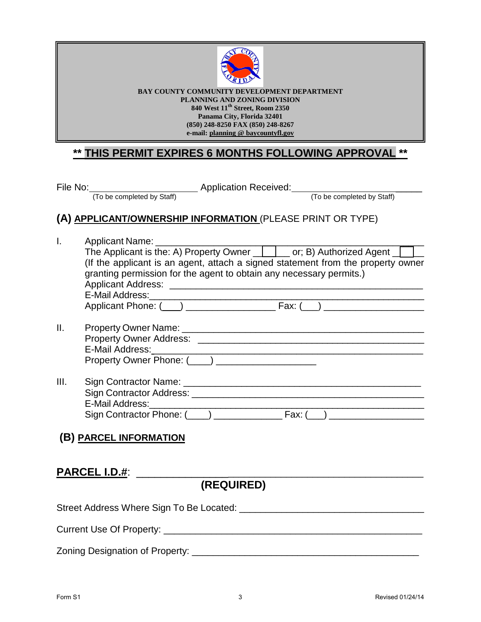

**BAY COUNTY COMMUNITY DEVELOPMENT DEPARTMENT PLANNING AND ZONING DIVISION 840 West 11th Street, Room 2350 Panama City, Florida 32401 (850) 248-8250 FAX (850) 248-8267 e-mail: planning @ baycountyfl.gov**

# **\*\* THIS PERMIT EXPIRES 6 MONTHS FOLLOWING APPROVAL \*\***

| File | No |  |
|------|----|--|
|      |    |  |

To be completed by Staff)<br>(To be completed by Staff) (To be completed by Staff)

# **(A) APPLICANT/OWNERSHIP INFORMATION** (PLEASE PRINT OR TYPE)

|      | Applicant Name: ___________________                                              |
|------|----------------------------------------------------------------------------------|
|      | The Applicant is the: A) Property Owner <u>[15]</u> or; B) Authorized Agent      |
|      | (If the applicant is an agent, attach a signed statement from the property owner |
|      | granting permission for the agent to obtain any necessary permits.)              |
|      |                                                                                  |
|      | E-Mail Address: 2008 Communication of the Mail Address:                          |
|      |                                                                                  |
| Ш.   |                                                                                  |
|      |                                                                                  |
|      |                                                                                  |
|      | Property Owner Phone: (___) __________________                                   |
| III. |                                                                                  |
|      |                                                                                  |
|      |                                                                                  |
|      |                                                                                  |
|      | (B) PARCEL INFORMATION                                                           |
|      |                                                                                  |
|      |                                                                                  |
|      | <b>PARCEL I.D.#:</b>                                                             |
|      | (REQUIRED)                                                                       |
|      |                                                                                  |

Street Address Where Sign To Be Located: \_\_\_\_\_\_\_\_\_\_\_\_\_\_\_\_\_\_\_\_\_\_\_\_\_\_\_\_\_\_\_\_\_\_\_ Current Use Of Property: \_\_\_\_\_\_\_\_\_\_\_\_\_\_\_\_\_\_\_\_\_\_\_\_\_\_\_\_\_\_\_\_\_\_\_\_\_\_\_\_\_\_\_\_\_\_\_\_\_

Zoning Designation of Property: \_\_\_\_\_\_\_\_\_\_\_\_\_\_\_\_\_\_\_\_\_\_\_\_\_\_\_\_\_\_\_\_\_\_\_\_\_\_\_\_\_\_\_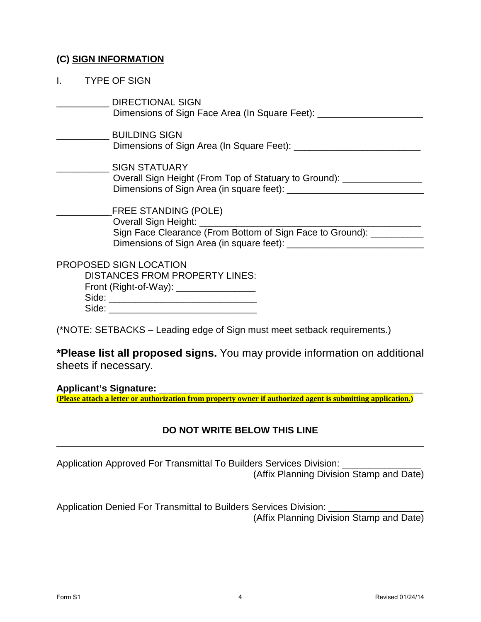## **(C) SIGN INFORMATION**

| <b>TYPE OF SIGN</b>                                                                                                                                                  |
|----------------------------------------------------------------------------------------------------------------------------------------------------------------------|
| DIRECTIONAL SIGN<br>Dimensions of Sign Face Area (In Square Feet): ________________                                                                                  |
| <b>BUILDING SIGN</b>                                                                                                                                                 |
| SIGN STATUARY<br>Overall Sign Height (From Top of Statuary to Ground): _________________                                                                             |
| $\_$ FREE STANDING (POLE)<br>Overall Sign Height: <u>Cambridge Contains and Sign Height:</u><br>Sign Face Clearance (From Bottom of Sign Face to Ground): __________ |
| PROPOSED SIGN LOCATION<br><b>DISTANCES FROM PROPERTY LINES:</b><br>Front (Right-of-Way): _________________                                                           |

(\*NOTE: SETBACKS – Leading edge of Sign must meet setback requirements.)

**\*Please list all proposed signs.** You may provide information on additional sheets if necessary.

**Applicant's Signature:** \_\_\_\_\_\_\_\_\_\_\_\_\_\_\_\_\_\_\_\_\_\_\_\_\_\_\_\_\_\_\_\_\_\_\_\_\_\_\_\_\_\_\_\_\_\_\_\_\_\_ **(Please attach a letter or authorization from property owner if authorized agent is submitting application.)** 

## **DO NOT WRITE BELOW THIS LINE**

Application Approved For Transmittal To Builders Services Division:

(Affix Planning Division Stamp and Date)

Application Denied For Transmittal to Builders Services Division: (Affix Planning Division Stamp and Date)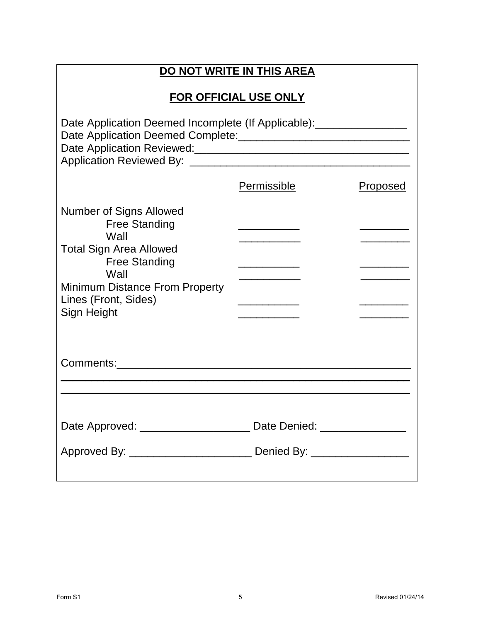| DO NOT WRITE IN THIS AREA                                                                                                                                                                                        |                       |          |  |  |
|------------------------------------------------------------------------------------------------------------------------------------------------------------------------------------------------------------------|-----------------------|----------|--|--|
|                                                                                                                                                                                                                  | FOR OFFICIAL USE ONLY |          |  |  |
| Date Application Deemed Incomplete (If Applicable):__________________<br>Application Reviewed By: Application Reviewed By:                                                                                       |                       |          |  |  |
|                                                                                                                                                                                                                  | Permissible           | Proposed |  |  |
| <b>Number of Signs Allowed</b><br><b>Free Standing</b><br>Wall<br><b>Total Sign Area Allowed</b><br><b>Free Standing</b><br>Wall<br><b>Minimum Distance From Property</b><br>Lines (Front, Sides)<br>Sign Height |                       |          |  |  |
| Comments: Annual Comments: Annual Comments:                                                                                                                                                                      |                       |          |  |  |
|                                                                                                                                                                                                                  |                       |          |  |  |
| Date Approved: _________________________ Date Denied: __________________________<br>Approved By: ________________________________ Denied By: _______________________                                             |                       |          |  |  |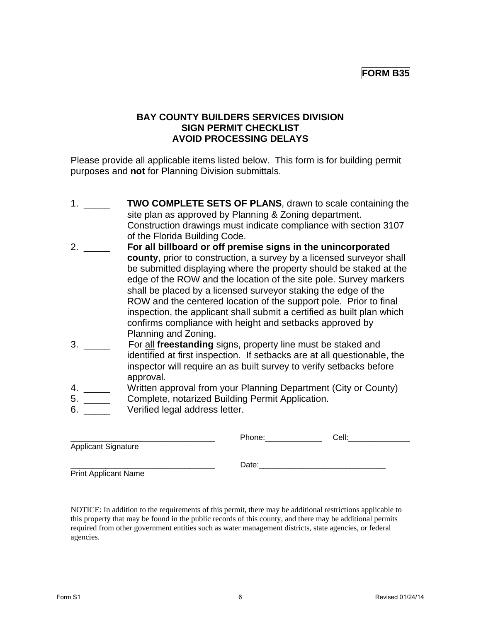## **FORM B35**

## **BAY COUNTY BUILDERS SERVICES DIVISION SIGN PERMIT CHECKLIST AVOID PROCESSING DELAYS**

Please provide all applicable items listed below. This form is for building permit purposes and **not** for Planning Division submittals.

- 1. \_\_\_\_\_ **TWO COMPLETE SETS OF PLANS**, drawn to scale containing the site plan as approved by Planning & Zoning department. Construction drawings must indicate compliance with section 3107 of the Florida Building Code.
- 2. \_\_\_\_\_ **For all billboard or off premise signs in the unincorporated county**, prior to construction, a survey by a licensed surveyor shall be submitted displaying where the property should be staked at the edge of the ROW and the location of the site pole. Survey markers shall be placed by a licensed surveyor staking the edge of the ROW and the centered location of the support pole. Prior to final inspection, the applicant shall submit a certified as built plan which confirms compliance with height and setbacks approved by Planning and Zoning.
- 3. \_\_\_\_\_ For all **freestanding** signs, property line must be staked and identified at first inspection. If setbacks are at all questionable, the inspector will require an as built survey to verify setbacks before approval.
- 4. \_\_\_\_\_ Written approval from your Planning Department (City or County)
- 5. \_\_\_\_\_ Complete, notarized Building Permit Application.
- 6. **Deally UVE Verified legal address letter.**

|                             | Phone: | Cell: |  |
|-----------------------------|--------|-------|--|
| <b>Applicant Signature</b>  |        |       |  |
|                             | Date:  |       |  |
| <b>Print Applicant Name</b> |        |       |  |

NOTICE: In addition to the requirements of this permit, there may be additional restrictions applicable to this property that may be found in the public records of this county, and there may be additional permits required from other government entities such as water management districts, state agencies, or federal agencies.